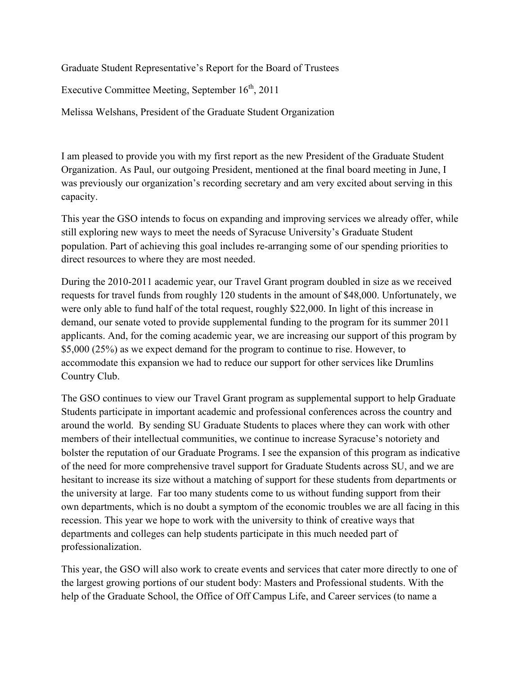Graduate Student Representative's Report for the Board of Trustees

Executive Committee Meeting, September  $16<sup>th</sup>$ , 2011

Melissa Welshans, President of the Graduate Student Organization

I am pleased to provide you with my first report as the new President of the Graduate Student Organization. As Paul, our outgoing President, mentioned at the final board meeting in June, I was previously our organization's recording secretary and am very excited about serving in this capacity.

This year the GSO intends to focus on expanding and improving services we already offer, while still exploring new ways to meet the needs of Syracuse University's Graduate Student population. Part of achieving this goal includes re-arranging some of our spending priorities to direct resources to where they are most needed.

During the 2010-2011 academic year, our Travel Grant program doubled in size as we received requests for travel funds from roughly 120 students in the amount of \$48,000. Unfortunately, we were only able to fund half of the total request, roughly \$22,000. In light of this increase in demand, our senate voted to provide supplemental funding to the program for its summer 2011 applicants. And, for the coming academic year, we are increasing our support of this program by \$5,000 (25%) as we expect demand for the program to continue to rise. However, to accommodate this expansion we had to reduce our support for other services like Drumlins Country Club.

The GSO continues to view our Travel Grant program as supplemental support to help Graduate Students participate in important academic and professional conferences across the country and around the world. By sending SU Graduate Students to places where they can work with other members of their intellectual communities, we continue to increase Syracuse's notoriety and bolster the reputation of our Graduate Programs. I see the expansion of this program as indicative of the need for more comprehensive travel support for Graduate Students across SU, and we are hesitant to increase its size without a matching of support for these students from departments or the university at large. Far too many students come to us without funding support from their own departments, which is no doubt a symptom of the economic troubles we are all facing in this recession. This year we hope to work with the university to think of creative ways that departments and colleges can help students participate in this much needed part of professionalization.

This year, the GSO will also work to create events and services that cater more directly to one of the largest growing portions of our student body: Masters and Professional students. With the help of the Graduate School, the Office of Off Campus Life, and Career services (to name a